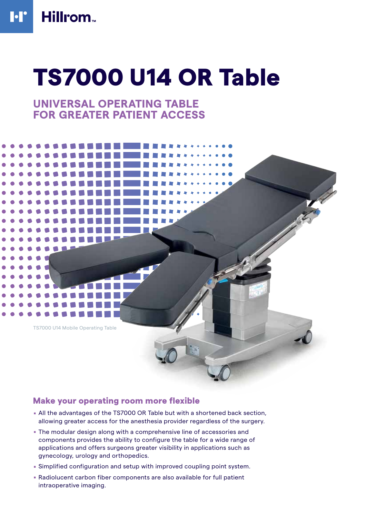# TS7000 U14 OR Table

## **UNIVERSAL OPERATING TABLE FOR GREATER PATIENT ACCESS**



## Make your operating room more flexible

- . All the advantages of the TS7000 OR Table but with a shortened back section, allowing greater access for the anesthesia provider regardless of the surgery.
- . The modular design along with a comprehensive line of accessories and components provides the ability to configure the table for a wide range of applications and offers surgeons greater visibility in applications such as gynecology, urology and orthopedics.
- . Simplified configuration and setup with improved coupling point system.
- . Radiolucent carbon fiber components are also available for full patient intraoperative imaging.